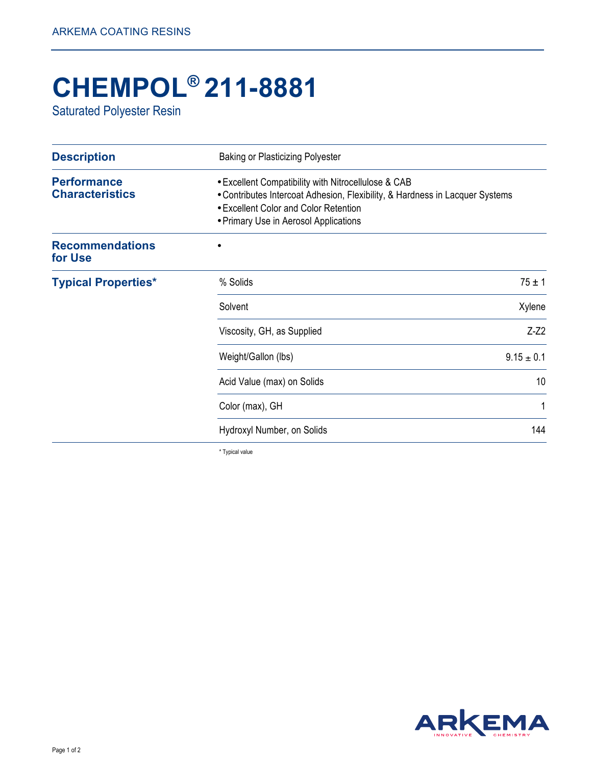## **CHEMPOL® 211-8881**

Saturated Polyester Resin

| <b>Description</b>                           | <b>Baking or Plasticizing Polyester</b>                                                                                                                                                                               |            |
|----------------------------------------------|-----------------------------------------------------------------------------------------------------------------------------------------------------------------------------------------------------------------------|------------|
| <b>Performance</b><br><b>Characteristics</b> | . Excellent Compatibility with Nitrocellulose & CAB<br>• Contributes Intercoat Adhesion, Flexibility, & Hardness in Lacquer Systems<br>• Excellent Color and Color Retention<br>• Primary Use in Aerosol Applications |            |
| <b>Recommendations</b><br>for Use            |                                                                                                                                                                                                                       |            |
| <b>Typical Properties*</b>                   | % Solids                                                                                                                                                                                                              | $75 \pm 1$ |
|                                              | Solvent                                                                                                                                                                                                               | Xylene     |
|                                              | Viscosity, GH, as Supplied                                                                                                                                                                                            | $Z-Z2$     |
|                                              | $9.15 \pm 0.1$<br>Weight/Gallon (lbs)                                                                                                                                                                                 |            |
|                                              | Acid Value (max) on Solids                                                                                                                                                                                            | 10         |
|                                              | Color (max), GH                                                                                                                                                                                                       | 1          |
|                                              | Hydroxyl Number, on Solids                                                                                                                                                                                            | 144        |

\* Typical value